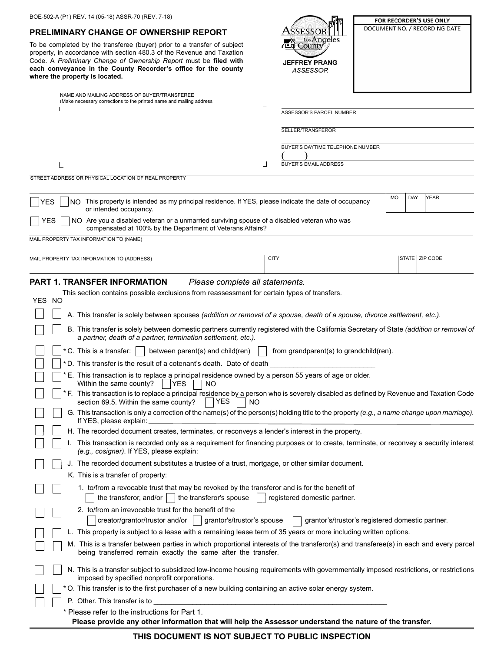## **PRELIMINARY CHANGE OF OWNERSHIP REPORT**

To be completed by the transferee (buyer) prior to a transfer of subject property, in accordance with section 480.3 of the Revenue and Taxation Code. A Preliminary Change of Ownership Report must be filed with **each conveyance in the County Recorder's office for the county where the property is located.**

> NAME AND (Make neces)<br> $\Box$

|                      | <b>FOR</b>   |
|----------------------|--------------|
| Assessor             | <b>DOCUM</b> |
|                      |              |
| Los Angeles          |              |
| cunty                |              |
|                      |              |
|                      |              |
| <b>JEFFREY PRANG</b> |              |
| ASSESSOR             |              |
|                      |              |
|                      |              |
|                      |              |

RECORDER'S USE ONLY **IENT NO. / RECORDING DATE** 

| ASSESSOR'S PARCEL NUMBER         |  |
|----------------------------------|--|
| SELLER/TRANSFEROR                |  |
| BUYER'S DAYTIME TELEPHONE NUMBER |  |
| <b>BUYER'S EMAIL ADDRESS</b>     |  |

| <b>YES</b> | NO This property is intended as my principal residence. If YES, please indicate the date of occupancy<br>or intended occupancy.                           | MO | DAY | <b>YEAR</b> |
|------------|-----------------------------------------------------------------------------------------------------------------------------------------------------------|----|-----|-------------|
| . YES      | NO Are you a disabled veteran or a unmarried surviving spouse of a disabled veteran who was<br>compensated at 100% by the Department of Veterans Affairs? |    |     |             |

MAIL PROPERTY TAX INFORMATION TO (NAME)

| MAIL PROPERTY TAX INFORMATION TO (ADDRESS) | CITV<br><b>UII</b> | ZIP CODE |
|--------------------------------------------|--------------------|----------|
|                                            |                    |          |

## **PART 1. TRANSFER INFORMATION** *Please complete all statements.*

|                                                |  | ANTE, INANOFER IN ONIGHON PROGRAMMENT COMPUTER OF STREET IN STREET                                                                                                                                                                                                                                          |  |  |  |
|------------------------------------------------|--|-------------------------------------------------------------------------------------------------------------------------------------------------------------------------------------------------------------------------------------------------------------------------------------------------------------|--|--|--|
| YES NO                                         |  | This section contains possible exclusions from reassessment for certain types of transfers.                                                                                                                                                                                                                 |  |  |  |
|                                                |  | A. This transfer is solely between spouses (addition or removal of a spouse, death of a spouse, divorce settlement, etc.).                                                                                                                                                                                  |  |  |  |
|                                                |  | B. This transfer is solely between domestic partners currently registered with the California Secretary of State (addition or removal of<br>a partner, death of a partner, termination settlement, etc.).                                                                                                   |  |  |  |
|                                                |  | * C. This is a transfer:  <br>between parent(s) and child(ren) $\vert$ from grandparent(s) to grandchild(ren).<br>$\mathcal{L}$                                                                                                                                                                             |  |  |  |
|                                                |  | *D. This transfer is the result of a cotenant's death. Date of death                                                                                                                                                                                                                                        |  |  |  |
|                                                |  | E. This transaction is to replace a principal residence owned by a person 55 years of age or older.<br>Within the same county?<br> YES<br>NO.                                                                                                                                                               |  |  |  |
|                                                |  | * F. This transaction is to replace a principal residence by a person who is severely disabled as defined by Revenue and Taxation Code<br>YES<br>section 69.5. Within the same county?<br>NO.                                                                                                               |  |  |  |
|                                                |  | G. This transaction is only a correction of the name(s) of the person(s) holding title to the property (e.g., a name change upon marriage).<br>If YES, please explain: __                                                                                                                                   |  |  |  |
|                                                |  | H. The recorded document creates, terminates, or reconveys a lender's interest in the property.                                                                                                                                                                                                             |  |  |  |
|                                                |  | I. This transaction is recorded only as a requirement for financing purposes or to create, terminate, or reconvey a security interest<br>(e.g., cosigner). If YES, please explain:<br><u> 1989 - Johann Stoff, deutscher Stoffen und der Stoffen und der Stoffen und der Stoffen und der Stoffen und de</u> |  |  |  |
|                                                |  | J. The recorded document substitutes a trustee of a trust, mortgage, or other similar document.                                                                                                                                                                                                             |  |  |  |
|                                                |  | K. This is a transfer of property.                                                                                                                                                                                                                                                                          |  |  |  |
|                                                |  | 1. to/from a revocable trust that may be revoked by the transferor and is for the benefit of<br>the transferor, and/or<br>$\vert$ the transferor's spouse<br>registered domestic partner.                                                                                                                   |  |  |  |
|                                                |  | 2. to/from an irrevocable trust for the benefit of the                                                                                                                                                                                                                                                      |  |  |  |
|                                                |  | creator/grantor/trustor and/or  <br>grantor's/trustor's spouse<br>grantor's/trustor's registered domestic partner.                                                                                                                                                                                          |  |  |  |
|                                                |  | L. This property is subject to a lease with a remaining lease term of 35 years or more including written options.                                                                                                                                                                                           |  |  |  |
|                                                |  | M. This is a transfer between parties in which proportional interests of the transferor(s) and transferee(s) in each and every parcel<br>being transferred remain exactly the same after the transfer.                                                                                                      |  |  |  |
|                                                |  | N. This is a transfer subject to subsidized low-income housing requirements with governmentally imposed restrictions, or restrictions<br>imposed by specified nonprofit corporations.                                                                                                                       |  |  |  |
|                                                |  | * O. This transfer is to the first purchaser of a new building containing an active solar energy system.                                                                                                                                                                                                    |  |  |  |
|                                                |  | P. Other. This transfer is to                                                                                                                                                                                                                                                                               |  |  |  |
| * Please refer to the instructions for Part 1. |  |                                                                                                                                                                                                                                                                                                             |  |  |  |
|                                                |  | Please provide any other information that will help the Assessor understand the nature of the transfer.                                                                                                                                                                                                     |  |  |  |
|                                                |  |                                                                                                                                                                                                                                                                                                             |  |  |  |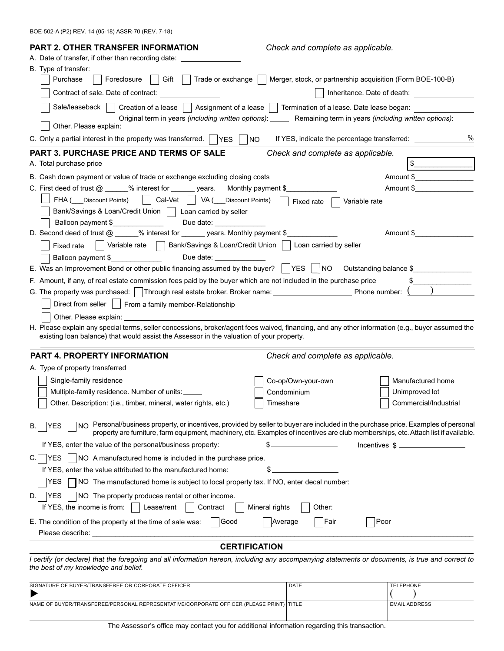$\Box$